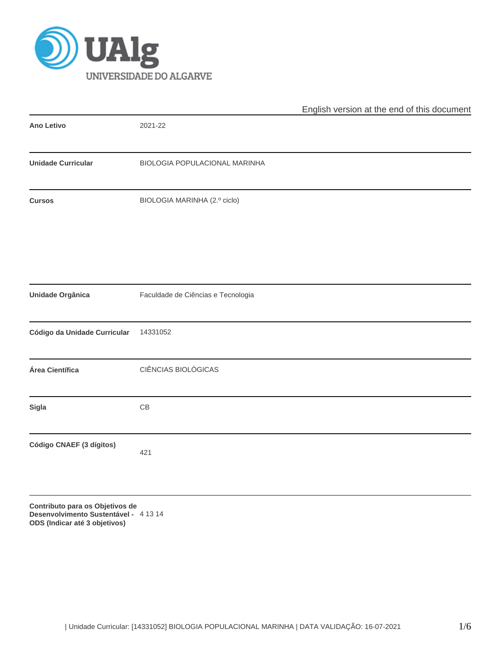

|                              |                                    | English version at the end of this document |  |  |  |
|------------------------------|------------------------------------|---------------------------------------------|--|--|--|
| Ano Letivo                   | 2021-22                            |                                             |  |  |  |
| <b>Unidade Curricular</b>    | BIOLOGIA POPULACIONAL MARINHA      |                                             |  |  |  |
| <b>Cursos</b>                | BIOLOGIA MARINHA (2.º ciclo)       |                                             |  |  |  |
|                              |                                    |                                             |  |  |  |
| <b>Unidade Orgânica</b>      | Faculdade de Ciências e Tecnologia |                                             |  |  |  |
| Código da Unidade Curricular | 14331052                           |                                             |  |  |  |
| Área Científica              | CIÊNCIAS BIOLÓGICAS                |                                             |  |  |  |
| <b>Sigla</b>                 | $\mathsf{CB}$                      |                                             |  |  |  |
| Código CNAEF (3 dígitos)     | 421                                |                                             |  |  |  |

**Contributo para os Objetivos de Desenvolvimento Sustentável - ODS (Indicar até 3 objetivos)** 4 13 14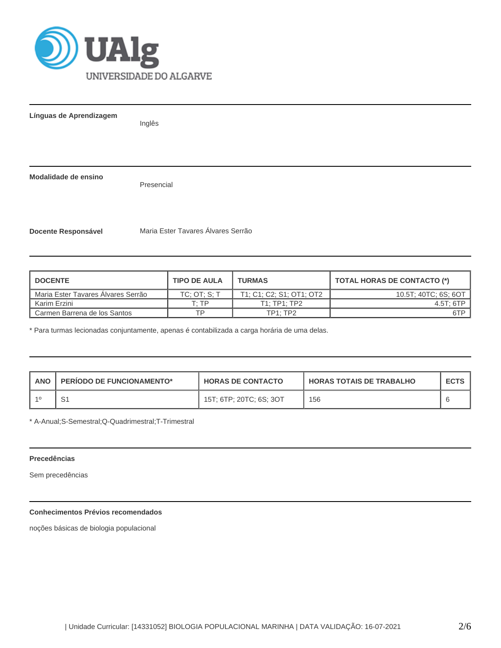

**Línguas de Aprendizagem**

Inglês

**Modalidade de ensino**

Presencial

**Docente Responsável** Maria Ester Tavares Álvares Serrão

| DOCENTE                            | <b>TIPO DE AULA</b> | <b>TURMAS</b>            | TOTAL HORAS DE CONTACTO (*) |
|------------------------------------|---------------------|--------------------------|-----------------------------|
| Maria Ester Tavares Alvares Serrão | TC: OT: S: T        | T1: C1: C2: S1: OT1: OT2 | 10.5T; 40TC; 6S; 6OT        |
| Karim Erzini                       | $T^T$               | T1:TP1:TP2               | 4.5T: 6TP                   |
| L Carmen Barrena de los Santos     | тp                  | TP1:TP2                  | 6TP                         |

\* Para turmas lecionadas conjuntamente, apenas é contabilizada a carga horária de uma delas.

| <b>ANO</b> | PERIODO DE FUNCIONAMENTO* | <b>HORAS DE CONTACTO</b> | <b>HORAS TOTAIS DE TRABALHO</b> | <b>ECTS</b> |
|------------|---------------------------|--------------------------|---------------------------------|-------------|
|            | ັ                         | 15T; 6TP; 20TC; 6S; 3OT  | 156                             |             |

\* A-Anual;S-Semestral;Q-Quadrimestral;T-Trimestral

# **Precedências**

Sem precedências

# **Conhecimentos Prévios recomendados**

noções básicas de biologia populacional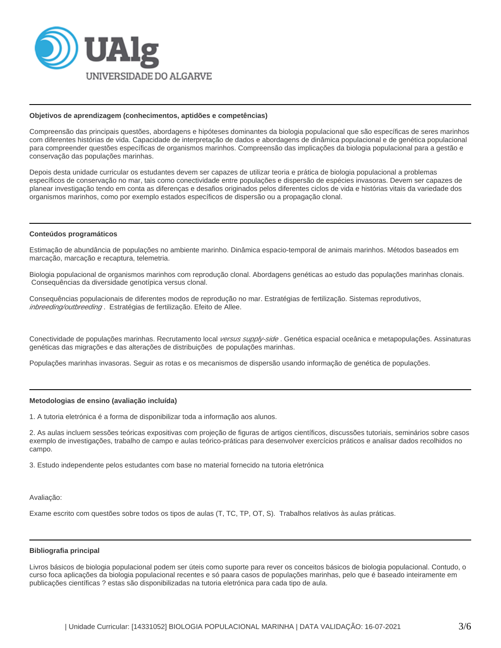

#### **Objetivos de aprendizagem (conhecimentos, aptidões e competências)**

Compreensão das principais questões, abordagens e hipóteses dominantes da biologia populacional que são específicas de seres marinhos com diferentes histórias de vida. Capacidade de interpretação de dados e abordagens de dinâmica populacional e de genética populacional para compreender questões específicas de organismos marinhos. Compreensão das implicações da biologia populacional para a gestão e conservação das populações marinhas.

Depois desta unidade curricular os estudantes devem ser capazes de utilizar teoria e prática de biologia populacional a problemas específicos de conservação no mar, tais como conectividade entre populações e dispersão de espécies invasoras. Devem ser capazes de planear investigação tendo em conta as diferenças e desafios originados pelos diferentes ciclos de vida e histórias vitais da variedade dos organismos marinhos, como por exemplo estados específicos de dispersão ou a propagação clonal.

#### **Conteúdos programáticos**

Estimação de abundância de populações no ambiente marinho. Dinâmica espacio-temporal de animais marinhos. Métodos baseados em marcação, marcação e recaptura, telemetria.

Biologia populacional de organismos marinhos com reprodução clonal. Abordagens genéticas ao estudo das populações marinhas clonais. Consequências da diversidade genotípica versus clonal.

Consequências populacionais de diferentes modos de reprodução no mar. Estratégias de fertilização. Sistemas reprodutivos, inbreeding/outbreeding . Estratégias de fertilização. Efeito de Allee.

Conectividade de populações marinhas. Recrutamento local versus supply-side. Genética espacial oceânica e metapopulações. Assinaturas genéticas das migrações e das alterações de distribuições de populações marinhas.

Populações marinhas invasoras. Seguir as rotas e os mecanismos de dispersão usando informação de genética de populações.

## **Metodologias de ensino (avaliação incluída)**

1. A tutoria eletrónica é a forma de disponibilizar toda a informação aos alunos.

2. As aulas incluem sessões teóricas expositivas com projeção de figuras de artigos científicos, discussões tutoriais, seminários sobre casos exemplo de investigações, trabalho de campo e aulas teórico-práticas para desenvolver exercícios práticos e analisar dados recolhidos no campo.

3. Estudo independente pelos estudantes com base no material fornecido na tutoria eletrónica

Avaliação:

Exame escrito com questões sobre todos os tipos de aulas (T, TC, TP, OT, S). Trabalhos relativos às aulas práticas.

#### **Bibliografia principal**

Livros básicos de biologia populacional podem ser úteis como suporte para rever os conceitos básicos de biologia populacional. Contudo, o curso foca aplicações da biologia populacional recentes e só paara casos de populações marinhas, pelo que é baseado inteiramente em publicações científicas ? estas são disponibilizadas na tutoria eletrónica para cada tipo de aula.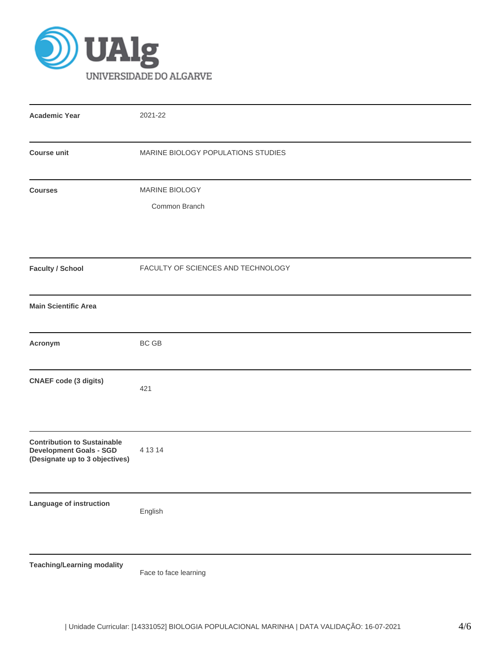

| <b>Academic Year</b>                                                                                   | 2021-22                            |  |  |  |  |  |
|--------------------------------------------------------------------------------------------------------|------------------------------------|--|--|--|--|--|
| <b>Course unit</b>                                                                                     | MARINE BIOLOGY POPULATIONS STUDIES |  |  |  |  |  |
| <b>Courses</b>                                                                                         | MARINE BIOLOGY                     |  |  |  |  |  |
|                                                                                                        | Common Branch                      |  |  |  |  |  |
| <b>Faculty / School</b>                                                                                | FACULTY OF SCIENCES AND TECHNOLOGY |  |  |  |  |  |
| <b>Main Scientific Area</b>                                                                            |                                    |  |  |  |  |  |
| Acronym                                                                                                | BC GB                              |  |  |  |  |  |
| <b>CNAEF</b> code (3 digits)                                                                           | 421                                |  |  |  |  |  |
| <b>Contribution to Sustainable</b><br><b>Development Goals - SGD</b><br>(Designate up to 3 objectives) | 4 13 14                            |  |  |  |  |  |
| Language of instruction                                                                                | English                            |  |  |  |  |  |
| <b>Teaching/Learning modality</b>                                                                      | Face to face learning              |  |  |  |  |  |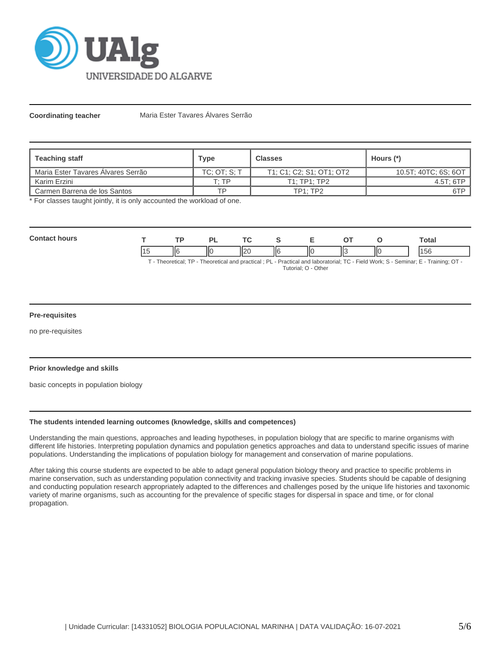

**Coordinating teacher** Maria Ester Tavares Álvares Serrão

| Teaching staff                              | Type         | <b>Classes</b>           | Hours (*)            |
|---------------------------------------------|--------------|--------------------------|----------------------|
| <b>I</b> Maria Ester Tavares Alvares Serrão | TC: OT: S: T | T1: C1: C2: S1: OT1: OT2 | 10.5T; 40TC; 6S; 6OT |
| Karim Erzini                                | т∙ тр        | T1:TP1:TP2               | $4.5T$ ; 6TP         |
| Carmen Barrena de los Santos                | тo           | <b>TP1: TP2</b>          | 6TP                  |

\* For classes taught jointly, it is only accounted the workload of one.

| <b>Contact hours</b> | ТP |  |                     |  | Total                                                                                                                              |  |
|----------------------|----|--|---------------------|--|------------------------------------------------------------------------------------------------------------------------------------|--|
|                      |    |  | -lic                |  | 156                                                                                                                                |  |
|                      |    |  | Tutorial: O - Other |  | T - Theoretical; TP - Theoretical and practical; PL - Practical and laboratorial; TC - Field Work; S - Seminar; E - Training; OT - |  |

## **Pre-requisites**

no pre-requisites

## **Prior knowledge and skills**

basic concepts in population biology

## **The students intended learning outcomes (knowledge, skills and competences)**

Understanding the main questions, approaches and leading hypotheses, in population biology that are specific to marine organisms with different life histories. Interpreting population dynamics and population genetics approaches and data to understand specific issues of marine populations. Understanding the implications of population biology for management and conservation of marine populations.

After taking this course students are expected to be able to adapt general population biology theory and practice to specific problems in marine conservation, such as understanding population connectivity and tracking invasive species. Students should be capable of designing and conducting population research appropriately adapted to the differences and challenges posed by the unique life histories and taxonomic variety of marine organisms, such as accounting for the prevalence of specific stages for dispersal in space and time, or for clonal propagation.